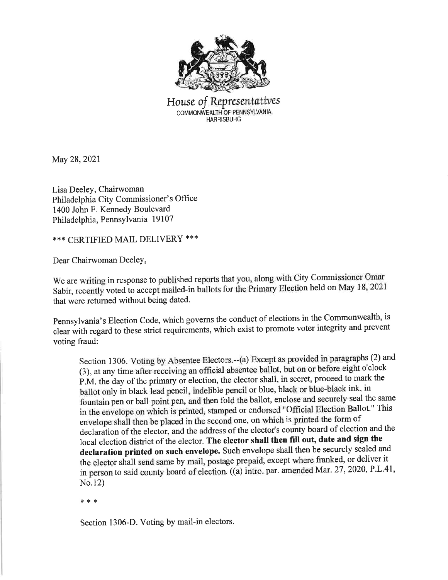

House of Representatives COMMONWEALTH OF PENNSYLVANIA **HARRISBURG** 

May 28,2021

Lisa Deeley, Chairwoman Philadelphia City Commissioner's Office 1400 John F. Kennedy Boulevard Philadelphia, Pennsylvania 19107

\*\*\* CERTIFIED MAIL DELIVERY \*\*\*

Dear Chairwoman DeeleY,

We are writing in response to published reports that you, along with City Commissioner Omar Sabir, recently voted to accept mailed-in ballots for the Primary Election held on May 18, 2021 that were returned without being dated.

pennsylvania's Election Code, which governs the conduct of elections in the Commonwealth, is clear with regard to these strict requirernents, which exist to promote voter integrity and prevent voting fraud:

Section 1306. Voting by Absentee Electors.--(a) Except as provided in\_paragraphs (2) and (3), at any time after receiving an offrcial absentee ballot, but on or before eight o'clock P.M. the day of the primary or election, the elector shall, in secret, proceed to mark the ballot only in black lead pencil, indelible pencil or blue, black or blue-black ink, in fountain pen or ball poini pen, and then fold the ballot, enclose and securely seal the same in the envelope on which is printed, stamped or endorsed "Official Election Ballot." This envelope shall then be placed in the second one, on which is printed the form of declaration of the elector, and the address of the elector's county board of election and the local election district of the elector. The elector shall then fill out, date and sign the declaration printed on such envelope. Such envelope shall then be securely sealed and the elector shall send same by mail, postage prepaid, except where franked, or deliver it in person to said county board of election. ((a) intro. par. amended Mar. 27, 2020, P.L.41, No.12)

:|( \* ,1.

Section 1306-D. Voting by mail-in electors.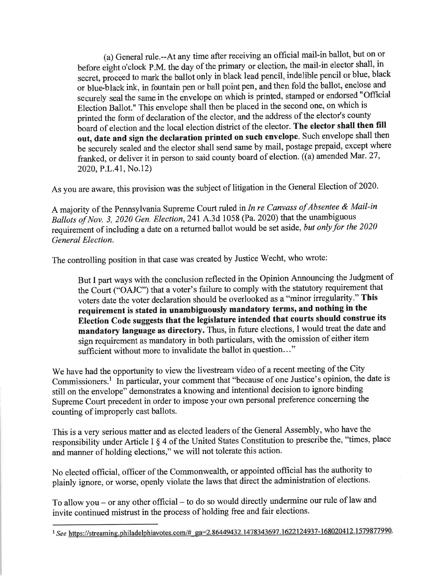(a) General rule.--At any time after receiving an official mail-in ballot, but on or before eight o'clock P.M. the day of the primary or election, the mail-in elector shall, in secret, proceed to mark the ballot only in black lead pencil, indelible pencil or blue, black or blue-black ink, in fountain pen or ball point pen, and then fold the ballot, enclose and securely seal the same in the envelope on which is printed, stamped or endorsed "Official Election Ballot." This envelope shall then be placed in the second one, on which is printed the form of declaration of the elector, and the address of the elector's county board of election and the local election district of the elector. The elector shall then fill out, date and sign the declaration printed on such envelope. Such envelope shall then be securely sealed and the elector shall send same by mail, postage prepaid, except where franked, or deliver it in person to said county board of election. ((a) amended Mar. 27, 2020,P.L.41, No.12)

As you are aware, this provision was the subject of litigation in the General Election of 2020.

<sup>A</sup>majority of the Pennsylvania Supreme Court ruled in In re Canvass of Absentee & Mail-in Ballots of Nov. 3, 2020 Gen. Election, 241 A.3d 1058 (Pa. 2020) that the unambiguous requirement of including a date on a returned ballot would be set aside, but only for the 2020 General Election.

The controlling position in that case was created by Justice Wecht, who wrote:

But I part ways with the conclusion reflected in the Opinion Announcing the Judgment of the Court ("OAJC") that avoter's failure to comply with the statutory requirement that voters date the voter declaration should be overlooked as a "minor inegularity." This requirement is stated in unambiguously mandatory terms, and nothing in the Election Code suggests that the legislature intended that courts should construe its mandatory language as directory. Thus, in future elections, I would treat the date and sign requirement as mandatory in both particulars, with the omission of either item sufficient without more to invalidate the ballot in question..."

We have had the opportunity to view the livestream video of a recent meeting of the City Commissioners.<sup>1</sup> In particular, your comment that "because of one Justice's opinion, the date is still on the envelope" demonstrates a knowing and intentional decision to ignore binding Supreme Court precedent in order to impose your own personal preference concerning the counting of improperly cast ballots.

This is a very serious matter and as elected leaders of the General Assembly, who have the responsibility under Article I \$ 4 of the United States Constitution to prescribe the, "times, place and manner of holding elections," we will not tolerate this action.

No elected official, officer of the Commonwealth, or appointed official has the authority to plainly ignore, or worse, openly violate the laws that direct the administration of elections.

To allow you - or any other official - to do so would directly undermine our rule of law and invite continued mistrust in the process of holding free and fair elections.

<sup>&</sup>lt;sup>1</sup> See https://streaming.philadelphiavotes.com/#-ga=2.86449432.1478343697.1622124937-168020412.1579877990.